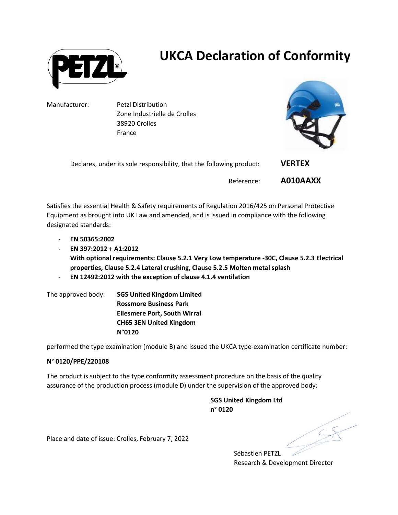

## UKCA Declaration of Conformity

Manufacturer: Petzl Distribution Zone Industrielle de Crolles 38920 Crolles France



| Declares, under its sole responsibility, that the following product: | <b>VERTEX</b> |
|----------------------------------------------------------------------|---------------|
| Reference:                                                           | A010AAXX      |

Satisfies the essential Health & Safety requirements of Regulation 2016/425 on Personal Protective Equipment as brought into UK Law and amended, and is issued in compliance with the following designated standards:

- EN 50365:2002
- $-$  EN 397:2012 + A1:2012 With optional requirements: Clause 5.2.1 Very Low temperature -30C, Clause 5.2.3 Electrical properties, Clause 5.2.4 Lateral crushing, Clause 5.2.5 Molten metal splash
- EN 12492:2012 with the exception of clause 4.1.4 ventilation

The approved body: SGS United Kingdom Limited Rossmore Business Park Ellesmere Port, South Wirral CH65 3EN United Kingdom N°0120

performed the type examination (module B) and issued the UKCA type-examination certificate number:

## N° 0120/PPE/220108

The product is subject to the type conformity assessment procedure on the basis of the quality assurance of the production process (module D) under the supervision of the approved body:

> SGS United Kingdom Ltd n° 0120

Place and date of issue: Crolles, February 7, 2022

Sébastien PETZL Research & Development Director